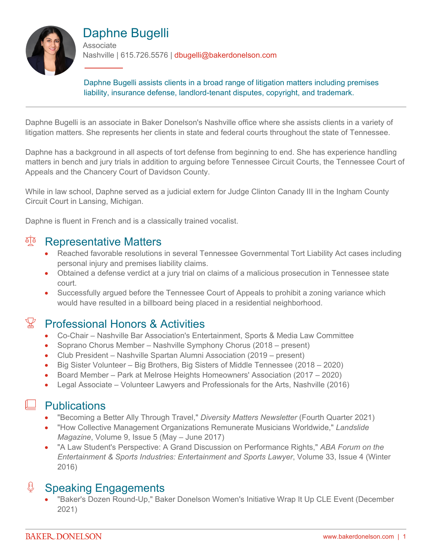

# Daphne Bugelli

**Associate** Nashville | 615.726.5576 | dbugelli@bakerdonelson.com

Daphne Bugelli assists clients in a broad range of litigation matters including premises liability, insurance defense, landlord-tenant disputes, copyright, and trademark.

Daphne Bugelli is an associate in Baker Donelson's Nashville office where she assists clients in a variety of litigation matters. She represents her clients in state and federal courts throughout the state of Tennessee.

Daphne has a background in all aspects of tort defense from beginning to end. She has experience handling matters in bench and jury trials in addition to arguing before Tennessee Circuit Courts, the Tennessee Court of Appeals and the Chancery Court of Davidson County.

While in law school, Daphne served as a judicial extern for Judge Clinton Canady III in the Ingham County Circuit Court in Lansing, Michigan.

Daphne is fluent in French and is a classically trained vocalist.

#### **Al<sup>a</sup>** Representative Matters

- Reached favorable resolutions in several Tennessee Governmental Tort Liability Act cases including personal injury and premises liability claims.
- Obtained a defense verdict at a jury trial on claims of a malicious prosecution in Tennessee state court.
- Successfully argued before the Tennessee Court of Appeals to prohibit a zoning variance which would have resulted in a billboard being placed in a residential neighborhood.

## $\mathbb{Y}$  Professional Honors & Activities

- Co-Chair Nashville Bar Association's Entertainment, Sports & Media Law Committee
- Soprano Chorus Member Nashville Symphony Chorus (2018 present)
- Club President Nashville Spartan Alumni Association (2019 present)
- Big Sister Volunteer Big Brothers, Big Sisters of Middle Tennessee (2018 2020)
- Board Member Park at Melrose Heights Homeowners' Association (2017 2020)
- Legal Associate Volunteer Lawyers and Professionals for the Arts, Nashville (2016)

## $\Box$  Publications

- "Becoming a Better Ally Through Travel," *Diversity Matters Newsletter* (Fourth Quarter 2021)
- "How Collective Management Organizations Remunerate Musicians Worldwide," *Landslide Magazine*, Volume 9, Issue 5 (May – June 2017)
- "A Law Student's Perspective: A Grand Discussion on Performance Rights," *ABA Forum on the Entertainment & Sports Industries: Entertainment and Sports Lawyer*, Volume 33, Issue 4 (Winter 2016)

#### 息 Speaking Engagements

 "Baker's Dozen Round-Up," Baker Donelson Women's Initiative Wrap It Up CLE Event (December 2021)